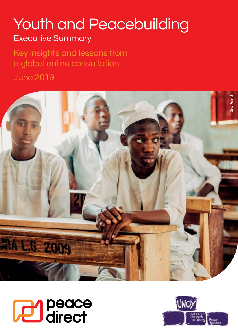## Youth and Peacebuilding Executive Summary

Key insights and lessons from a global online consultation June 2019





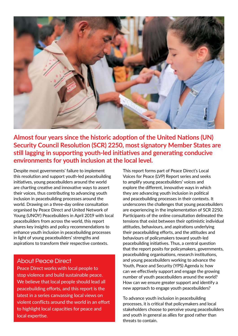

**Almost four years since the historic adoption of the United Nations (UN) Security Council Resolution (SCR) 2250, most signatory Member States are still lagging in supporting youth-led initiatives and generating conducive environments for youth inclusion at the local level.** 

Despite most governments' failure to implement this resolution and support youth-led peacebuilding initiatives, young peacebuilders around the world are charting creative and innovative ways to assert their voices, thus contributing to advancing youth inclusion in peacebuilding processes around the world. Drawing on a three-day online consultation organised by Peace Direct and United Network of Young (UNOY) Peacebuilders in April 2019 with local peacebuilders from across the world, this report shares key insights and policy recommendations to enhance youth inclusion in peacebuilding processes in light of young peacebuilders' strengths and aspirations to transform their respective contexts.

## About Peace Direct

Peace Direct works with local people to stop violence and build sustainable peace. We believe that local people should lead all peacebuilding efforts, and this report is the latest in a series canvassing local views on violent conflicts around the world in an effort to highlight local capacities for peace and local expertise.

This report forms part of Peace Direct's Local Voices for Peace (LVP) Report series and seeks to amplify young peacebuilders' voices and explore the different, innovative ways in which they are advancing youth inclusion in political and peacebuilding processes in their contexts. It underscores the challenges that young peacebuilders are experiencing in the implementation of SCR 2250. Participants of the online consultation delineated the tensions that exist between their optimistic individual attitudes, behaviours, and aspirations underlying their peacebuilding efforts, and the attitudes and behaviours of policymakers toward youth-led peacebuilding initiatives. Thus, a central question that the report posits for policymakers, governments, peacebuilding organisations, research institutions, and young peacebuilders working to advance the Youth, Peace and Security (YPS) Agenda is: how can we effectively support and engage the growing number of youth peacebuilders around the world? How can we ensure greater support and identify a new approach to engage youth peacebuilders?

To advance youth inclusion in peacebuilding processes, it is critical that policymakers and local stakeholders choose to perceive young peacebuilders and youth in general as allies for good rather than threats to contain.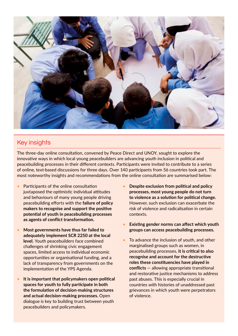

## Key insights

The three-day online consultation, convened by Peace Direct and UNOY, sought to explore the innovative ways in which local young peacebuilders are advancing youth inclusion in political and peacebuilding processes in their different contexts. Participants were invited to contribute to a series of online, text-based discussions for three days. Over 140 participants from 56 countries took part. The most noteworthy insights and recommendations from the online consultation are summarised below:

- •Participants of the online consultation juxtaposed the optimistic individual attitudes and behaviours of many young people driving peacebuilding efforts with the **failure of policy makers to recognise and support the positive potential of youth in peacebuilding processes as agents of conflict transformation.**
- **Most governments have thus far failed to adequately implement SCR 2250 at the local level.** Youth peacebuilders face combined challenges of shrinking civic engagement spaces, limited access to individual economic opportunities or organisational funding, and a lack of transparency from governments on the implementation of the YPS Agenda.
- **It is important that policymakers open political spaces for youth to fully participate in both the formulation of decision-making structures and actual decision-making processes.** Open dialogue is key to building trust between youth peacebuilders and policymakers.
- **Despite exclusion from political and policy processes, most young people do not turn to violence as a solution for political change.**  However, such exclusion can exacerbate the risk of violence and radicalisation in certain contexts.
- **Existing gender norms can affect which youth groups can access peacebuilding processes.**
- •To advance the inclusion of youth, and other marginalised groups such as women, in peacebuilding processes, **it is critical to also recognise and account for the destructive roles these constituencies have played in conflicts** — allowing appropriate transitional and restorative justice mechanisms to address past abuses. This is especially crucial in countries with histories of unaddressed past grievances in which youth were perpetrators of violence.